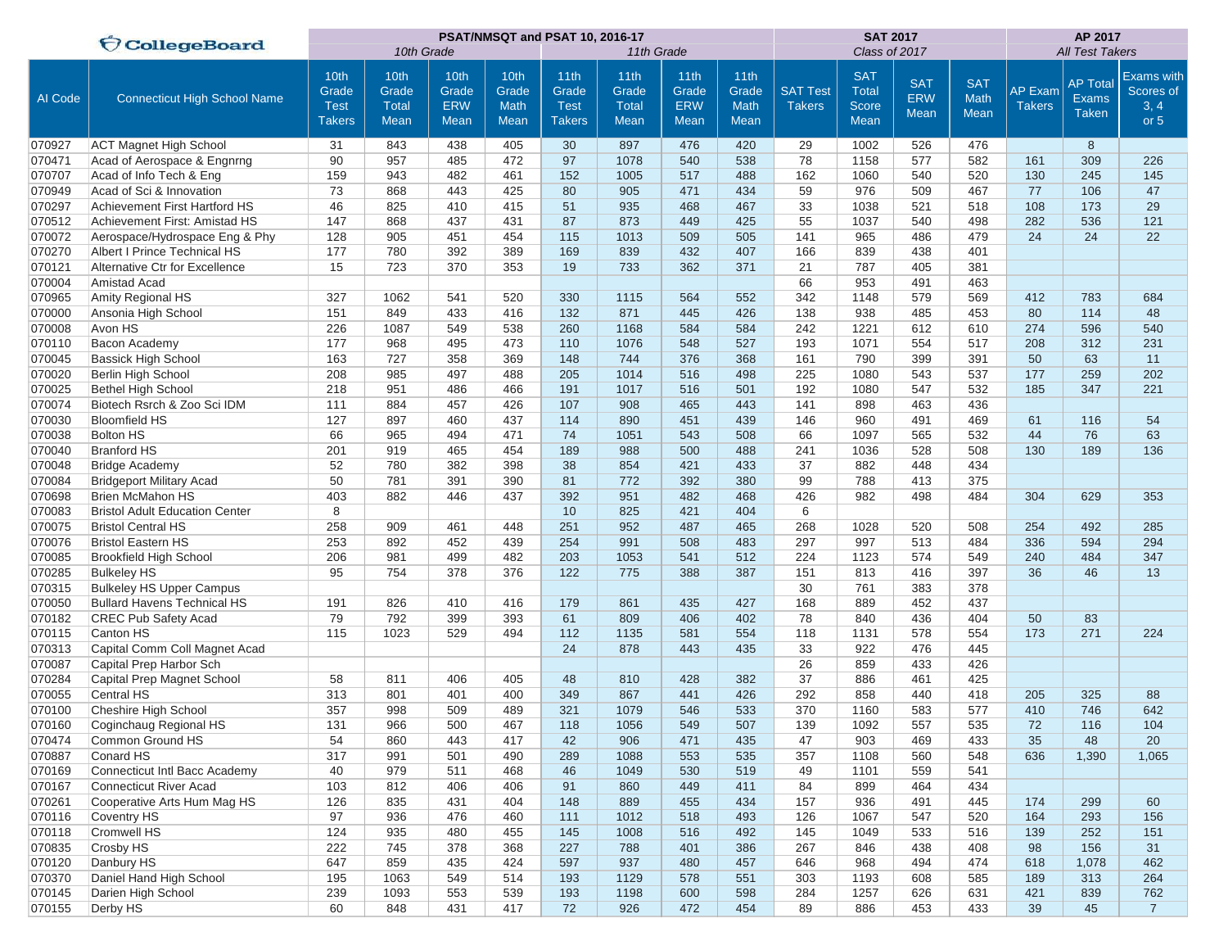|         | <b>CollegeBoard</b>                   |                                               |                                       |                                     | PSAT/NMSQT and PSAT 10, 2016-17      |                                               |                                       |                                     | <b>SAT 2017</b>                             |                                  | AP 2017                                            |                                         |                                   |                                 |                                                 |                                                |
|---------|---------------------------------------|-----------------------------------------------|---------------------------------------|-------------------------------------|--------------------------------------|-----------------------------------------------|---------------------------------------|-------------------------------------|---------------------------------------------|----------------------------------|----------------------------------------------------|-----------------------------------------|-----------------------------------|---------------------------------|-------------------------------------------------|------------------------------------------------|
|         |                                       |                                               | 10th Grade                            |                                     |                                      | 11th Grade                                    |                                       |                                     |                                             | Class of 2017                    |                                                    | <b>All Test Takers</b>                  |                                   |                                 |                                                 |                                                |
| Al Code | <b>Connecticut High School Name</b>   | 10th<br>Grade<br><b>Test</b><br><b>Takers</b> | 10th<br>Grade<br><b>Total</b><br>Mean | 10th<br>Grade<br><b>ERW</b><br>Mean | 10th<br>Grade<br><b>Math</b><br>Mean | 11th<br>Grade<br><b>Test</b><br><b>Takers</b> | 11th<br>Grade<br><b>Total</b><br>Mean | 11th<br>Grade<br><b>ERW</b><br>Mean | 11th<br>Grade<br><b>Math</b><br><b>Mean</b> | <b>SAT Test</b><br><b>Takers</b> | <b>SAT</b><br><b>Total</b><br><b>Score</b><br>Mean | <b>SAT</b><br><b>ERW</b><br><b>Mean</b> | <b>SAT</b><br>Math<br><b>Mean</b> | <b>AP Exam</b><br><b>Takers</b> | <b>AP Total</b><br><b>Exams</b><br><b>Taken</b> | <b>Exams with</b><br>Scores of<br>3, 4<br>or 5 |
| 070927  | <b>ACT Magnet High School</b>         | 31                                            | 843                                   | 438                                 | 405                                  | 30                                            | 897                                   | 476                                 | 420                                         | 29                               | 1002                                               | 526                                     | 476                               |                                 | 8                                               |                                                |
| 070471  | Acad of Aerospace & Engnrng           | 90                                            | 957                                   | 485                                 | 472                                  | 97                                            | 1078                                  | 540                                 | 538                                         | 78                               | 1158                                               | 577                                     | 582                               | 161                             | 309                                             | 226                                            |
| 070707  | Acad of Info Tech & Eng               | 159                                           | 943                                   | 482                                 | 461                                  | 152                                           | 1005                                  | 517                                 | 488                                         | 162                              | 1060                                               | 540                                     | 520                               | 130                             | 245                                             | 145                                            |
| 070949  | Acad of Sci & Innovation              | 73                                            | 868                                   | 443                                 | 425                                  | 80                                            | 905                                   | 471                                 | 434                                         | 59                               | 976                                                | 509                                     | 467                               | 77                              | 106                                             | 47                                             |
| 070297  | <b>Achievement First Hartford HS</b>  | 46                                            | 825                                   | 410                                 | 415                                  | 51                                            | 935                                   | 468                                 | 467                                         | 33                               | 1038                                               | 521                                     | 518                               | 108                             | 173                                             | 29                                             |
| 070512  | Achievement First: Amistad HS         | 147                                           | 868                                   | 437                                 | 431                                  | 87                                            | 873                                   | 449                                 | 425                                         | 55                               | 1037                                               | 540                                     | 498                               | 282                             | 536                                             | 121                                            |
| 070072  | Aerospace/Hydrospace Eng & Phy        | 128                                           | 905                                   | 451                                 | 454                                  | 115                                           | 1013                                  | 509                                 | 505                                         | 141                              | 965                                                | 486                                     | 479                               | 24                              | 24                                              | 22                                             |
| 070270  | Albert I Prince Technical HS          | 177                                           | 780                                   | 392                                 | 389                                  | 169                                           | 839                                   | 432                                 | 407                                         | 166                              | 839                                                | 438                                     | 401                               |                                 |                                                 |                                                |
| 070121  | Alternative Ctr for Excellence        | 15                                            | 723                                   | 370                                 | 353                                  | 19                                            | 733                                   | 362                                 | 371                                         | 21                               | 787                                                | 405                                     | 381                               |                                 |                                                 |                                                |
| 070004  | Amistad Acad                          |                                               |                                       |                                     |                                      |                                               |                                       |                                     |                                             | 66                               | 953                                                | 491                                     | 463                               |                                 |                                                 |                                                |
| 070965  | Amity Regional HS                     | 327                                           | 1062                                  | 541                                 | 520                                  | 330                                           | 1115                                  | 564                                 | 552                                         | 342                              | 1148                                               | 579                                     | 569                               | 412                             | 783                                             | 684                                            |
| 070000  | Ansonia High School                   | 151                                           | 849                                   | 433                                 | 416                                  | 132                                           | 871                                   | 445                                 | 426                                         | 138                              | 938                                                | 485                                     | 453                               | 80                              | 114                                             | 48                                             |
| 070008  | Avon HS                               | 226                                           | 1087                                  | 549                                 | 538                                  | 260                                           | 1168                                  | 584                                 | 584                                         | 242                              | 1221                                               | 612                                     | 610                               | 274                             | 596                                             | 540                                            |
| 070110  | Bacon Academy                         | 177                                           | 968                                   | 495                                 | 473                                  | 110                                           | 1076                                  | 548                                 | 527                                         | 193                              | 1071                                               | 554                                     | 517                               | 208                             | 312                                             | 231                                            |
| 070045  | <b>Bassick High School</b>            | 163                                           | 727                                   | 358                                 | 369                                  | 148                                           | 744                                   | 376                                 | 368                                         | 161                              | 790                                                | 399                                     | 391                               | 50                              | 63                                              | 11                                             |
| 070020  | Berlin High School                    | 208                                           | 985                                   | 497                                 | 488                                  | 205                                           | 1014                                  | 516                                 | 498                                         | 225                              | 1080                                               | 543                                     | 537                               | 177                             | 259                                             | 202                                            |
| 070025  | <b>Bethel High School</b>             | 218                                           | 951                                   | 486                                 | 466                                  | 191                                           | 1017                                  | 516                                 | 501                                         | 192                              | 1080                                               | 547                                     | 532                               | 185                             | 347                                             | 221                                            |
| 070074  | Biotech Rsrch & Zoo Sci IDM           | 111                                           | 884                                   | 457                                 | 426                                  | 107                                           | 908                                   | 465                                 | 443                                         | 141                              | 898                                                | 463                                     | 436                               |                                 |                                                 |                                                |
| 070030  | <b>Bloomfield HS</b>                  | 127                                           | 897                                   | 460                                 | 437                                  | 114                                           | 890                                   | 451                                 | 439                                         | 146                              | 960                                                | 491                                     | 469                               | 61                              | 116                                             | 54                                             |
| 070038  | <b>Bolton HS</b>                      | 66                                            | 965                                   | 494                                 | 471                                  | 74                                            | 1051                                  | 543                                 | 508                                         | 66                               | 1097                                               | 565                                     | 532                               | 44                              | 76                                              | 63                                             |
| 070040  | <b>Branford HS</b>                    | 201                                           | 919                                   | 465                                 | 454                                  | 189                                           | 988                                   | 500                                 | 488                                         | 241                              | 1036                                               | 528                                     | 508                               | 130                             | 189                                             | 136                                            |
| 070048  | <b>Bridge Academy</b>                 | 52                                            | 780                                   | 382                                 | 398                                  | 38                                            | 854                                   | 421                                 | 433                                         | 37                               | 882                                                | 448                                     | 434                               |                                 |                                                 |                                                |
| 070084  | <b>Bridgeport Military Acad</b>       | 50                                            | 781                                   | 391                                 | 390                                  | 81                                            | 772                                   | 392                                 | 380                                         | 99                               | 788                                                | 413                                     | 375                               |                                 |                                                 |                                                |
| 070698  | <b>Brien McMahon HS</b>               | 403                                           | 882                                   | 446                                 | 437                                  | 392                                           | 951                                   | 482                                 | 468                                         | 426                              | 982                                                | 498                                     | 484                               | 304                             | 629                                             | 353                                            |
| 070083  | <b>Bristol Adult Education Center</b> | 8                                             |                                       |                                     |                                      | 10                                            | 825                                   | 421                                 | 404                                         | 6                                |                                                    |                                         |                                   |                                 |                                                 |                                                |
| 070075  | <b>Bristol Central HS</b>             | 258                                           | 909                                   | 461                                 | 448                                  | 251                                           | 952                                   | 487                                 | 465                                         | 268                              | 1028                                               | 520                                     | 508                               | 254                             | 492                                             | 285                                            |
| 070076  | <b>Bristol Eastern HS</b>             | 253                                           | 892                                   | 452                                 | 439                                  | 254                                           | 991                                   | 508                                 | 483                                         | 297                              | 997                                                | 513                                     | 484                               | 336                             | 594                                             | 294                                            |
| 070085  | Brookfield High School                | 206                                           | 981                                   | 499                                 | 482                                  | 203                                           | 1053                                  | 541                                 | 512                                         | 224                              | 1123                                               | 574                                     | 549                               | 240                             | 484                                             | 347                                            |
| 070285  | <b>Bulkeley HS</b>                    | 95                                            | 754                                   | 378                                 | 376                                  | 122                                           | 775                                   | 388                                 | 387                                         | 151                              | 813                                                | 416                                     | 397                               | 36                              | 46                                              | 13                                             |
| 070315  | <b>Bulkeley HS Upper Campus</b>       |                                               |                                       |                                     |                                      |                                               |                                       |                                     |                                             | 30                               | 761                                                | 383                                     | 378                               |                                 |                                                 |                                                |
| 070050  | <b>Bullard Havens Technical HS</b>    | 191                                           | 826                                   | 410                                 | 416                                  | 179                                           | 861                                   | 435                                 | 427                                         | 168                              | 889                                                | 452                                     | 437                               |                                 |                                                 |                                                |
| 070182  | CREC Pub Safety Acad                  | 79                                            | 792                                   | 399                                 | 393                                  | 61                                            | 809                                   | 406                                 | 402                                         | 78                               | 840                                                | 436                                     | 404                               | 50                              | 83                                              |                                                |
| 070115  | Canton HS                             | 115                                           | 1023                                  | 529                                 | 494                                  | 112                                           | 1135                                  | 581                                 | 554                                         | 118                              | 1131                                               | 578                                     | 554                               | 173                             | 271                                             | 224                                            |
| 070313  | Capital Comm Coll Magnet Acad         |                                               |                                       |                                     |                                      | 24                                            | 878                                   | 443                                 | 435                                         | 33                               | 922                                                | 476                                     | 445                               |                                 |                                                 |                                                |
| 070087  | Capital Prep Harbor Sch               |                                               |                                       |                                     |                                      |                                               |                                       |                                     |                                             | 26                               | 859                                                | 433                                     | 426                               |                                 |                                                 |                                                |
| 070284  | Capital Prep Magnet School            | 58                                            | 811                                   | 406                                 | 405                                  | 48                                            | 810                                   | 428                                 | 382                                         | 37                               | 886                                                | 461                                     | 425                               |                                 |                                                 |                                                |
| 070055  | <b>Central HS</b>                     | 313                                           | 801                                   | 401                                 | 400                                  | 349                                           | 867                                   | 441                                 | 426                                         | 292                              | 858                                                | 440                                     | 418                               | 205                             | 325                                             | 88                                             |
| 070100  | Cheshire High School                  | 357                                           | 998                                   | 509                                 | 489                                  | 321                                           | 1079                                  | 546                                 | 533                                         | 370                              | 1160                                               | 583                                     | 577                               | 410                             | 746                                             | 642                                            |
| 070160  | Coginchaug Regional HS                | 131                                           | 966                                   | 500                                 | 467                                  | 118                                           | 1056                                  | 549                                 | 507                                         | 139                              | 1092                                               | 557                                     | 535                               | 72                              | 116                                             | 104                                            |
| 070474  | Common Ground HS                      | 54                                            | 860                                   | 443                                 | 417                                  | 42                                            | 906                                   | 471                                 | 435                                         | 47                               | 903                                                | 469                                     | 433                               | 35                              | 48                                              | 20                                             |
| 070887  | Conard HS                             | 317                                           | 991                                   | 501                                 | 490                                  | 289                                           | 1088                                  | 553                                 | 535                                         | 357                              | 1108                                               | 560                                     | 548                               | 636                             | 1,390                                           | 1,065                                          |
| 070169  | Connecticut Intl Bacc Academy         | 40                                            | 979                                   | 511                                 | 468                                  | 46                                            | 1049                                  | 530                                 | 519                                         | 49                               | 1101                                               | 559                                     | 541                               |                                 |                                                 |                                                |
| 070167  | Connecticut River Acad                | 103                                           | 812                                   | 406                                 | 406                                  | 91                                            | 860                                   | 449                                 | 411                                         | 84                               | 899                                                | 464                                     | 434                               |                                 |                                                 |                                                |
| 070261  | Cooperative Arts Hum Mag HS           | 126                                           | 835                                   | 431                                 | 404                                  | 148                                           | 889                                   | 455                                 | 434                                         | 157                              | 936                                                | 491                                     | 445                               | 174                             | 299                                             | 60                                             |
| 070116  | Coventry HS                           | 97                                            | 936                                   | 476                                 | 460                                  | 111                                           | 1012                                  | 518                                 | 493                                         | 126                              | 1067                                               | 547                                     | 520                               | 164                             | 293                                             | 156                                            |
| 070118  | Cromwell HS                           | 124                                           | 935                                   | 480                                 | 455                                  | 145                                           | 1008                                  | 516                                 | 492                                         | 145                              | 1049                                               | 533                                     | 516                               | 139                             | 252                                             | 151                                            |
| 070835  | Crosby HS                             | 222                                           | 745                                   | 378                                 | 368                                  | 227                                           | 788                                   | 401                                 | 386                                         | 267                              | 846                                                | 438                                     | 408                               | 98                              | 156                                             | 31                                             |
| 070120  | Danbury HS                            | 647                                           | 859                                   | 435                                 | 424                                  | 597                                           | 937                                   | 480                                 | 457                                         | 646                              | 968                                                | 494                                     | 474                               | 618                             | 1,078                                           | 462                                            |
| 070370  | Daniel Hand High School               | 195                                           | 1063                                  | 549                                 | 514                                  | 193                                           | 1129                                  | 578                                 | 551                                         | 303                              | 1193                                               | 608                                     | 585                               | 189                             | 313                                             | 264                                            |
| 070145  | Darien High School                    | 239                                           | 1093                                  | 553                                 | 539                                  | 193                                           | 1198                                  | 600                                 | 598                                         | 284                              | 1257                                               | 626                                     | 631                               | 421                             | 839                                             | 762                                            |
| 070155  | Derby HS                              | 60                                            | 848                                   | 431                                 | 417                                  | 72                                            | 926                                   | 472                                 | 454                                         | 89                               | 886                                                | 453                                     | 433                               | 39                              | 45                                              | $\overline{7}$                                 |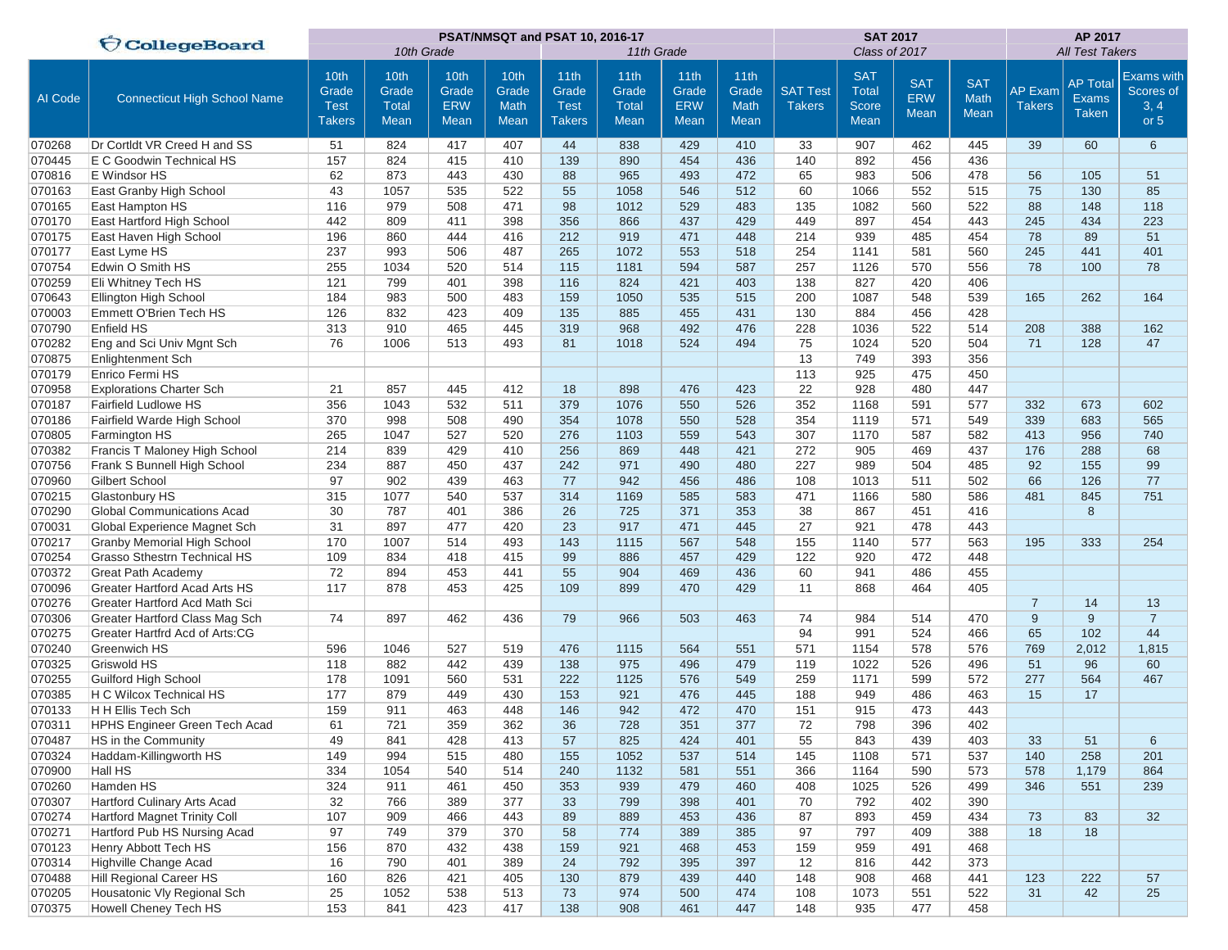|         | <b>CollegeBoard</b>                  |                                               |                                       |                                     |                                      | PSAT/NMSQT and PSAT 10, 2016-17               |                                       |                                            | <b>SAT 2017</b>                                  |                                  | AP 2017                                                   |                                         |                            |                                 |                                                 |                                                |
|---------|--------------------------------------|-----------------------------------------------|---------------------------------------|-------------------------------------|--------------------------------------|-----------------------------------------------|---------------------------------------|--------------------------------------------|--------------------------------------------------|----------------------------------|-----------------------------------------------------------|-----------------------------------------|----------------------------|---------------------------------|-------------------------------------------------|------------------------------------------------|
|         |                                      |                                               | 10th Grade                            |                                     |                                      |                                               | 11th Grade                            |                                            |                                                  |                                  | Class of 2017                                             |                                         | <b>All Test Takers</b>     |                                 |                                                 |                                                |
| Al Code | <b>Connecticut High School Name</b>  | 10th<br>Grade<br><b>Test</b><br><b>Takers</b> | 10th<br>Grade<br><b>Total</b><br>Mean | 10th<br>Grade<br><b>ERW</b><br>Mean | 10th<br>Grade<br><b>Math</b><br>Mean | 11th<br>Grade<br><b>Test</b><br><b>Takers</b> | 11th<br>Grade<br><b>Total</b><br>Mean | 11th<br>Grade<br><b>ERW</b><br><b>Mean</b> | 11 <sub>th</sub><br>Grade<br>Math<br><b>Mean</b> | <b>SAT Test</b><br><b>Takers</b> | <b>SAT</b><br><b>Total</b><br><b>Score</b><br><b>Mean</b> | <b>SAT</b><br><b>ERW</b><br><b>Mean</b> | <b>SAT</b><br>Math<br>Mean | <b>AP Exam</b><br><b>Takers</b> | <b>AP Total</b><br><b>Exams</b><br><b>Taken</b> | <b>Exams with</b><br>Scores of<br>3, 4<br>or 5 |
| 070268  | Dr Cortldt VR Creed H and SS         | 51                                            | 824                                   | 417                                 | 407                                  | 44                                            | 838                                   | 429                                        | 410                                              | 33                               | 907                                                       | 462                                     | 445                        | 39                              | 60                                              | 6                                              |
| 070445  | E C Goodwin Technical HS             | 157                                           | 824                                   | 415                                 | 410                                  | 139                                           | 890                                   | 454                                        | 436                                              | 140                              | 892                                                       | 456                                     | 436                        |                                 |                                                 |                                                |
| 070816  | E Windsor HS                         | 62                                            | 873                                   | 443                                 | 430                                  | 88                                            | 965                                   | 493                                        | 472                                              | 65                               | 983                                                       | 506                                     | 478                        | 56                              | 105                                             | 51                                             |
| 070163  | East Granby High School              | 43                                            | 1057                                  | 535                                 | 522                                  | 55                                            | 1058                                  | 546                                        | 512                                              | 60                               | 1066                                                      | 552                                     | 515                        | 75                              | 130                                             | 85                                             |
| 070165  | East Hampton HS                      | 116                                           | 979                                   | 508                                 | 471                                  | 98                                            | 1012                                  | 529                                        | 483                                              | 135                              | 1082                                                      | 560                                     | 522                        | 88                              | 148                                             | 118                                            |
| 070170  | East Hartford High School            | 442                                           | 809                                   | 411                                 | 398                                  | 356                                           | 866                                   | 437                                        | 429                                              | 449                              | 897                                                       | 454                                     | 443                        | 245                             | 434                                             | 223                                            |
| 070175  | East Haven High School               | 196                                           | 860                                   | 444                                 | 416                                  | 212                                           | 919                                   | 471                                        | 448                                              | 214                              | 939                                                       | 485                                     | 454                        | 78                              | 89                                              | 51                                             |
| 070177  | East Lyme HS                         | 237                                           | 993                                   | 506                                 | 487                                  | 265                                           | 1072                                  | 553                                        | 518                                              | 254                              | 1141                                                      | 581                                     | 560                        | 245                             | 441                                             | 401                                            |
| 070754  | Edwin O Smith HS                     | 255                                           | 1034                                  | 520                                 | 514                                  | 115                                           | 1181                                  | 594                                        | 587                                              | 257                              | 1126                                                      | 570                                     | 556                        | 78                              | 100                                             | 78                                             |
| 070259  | Eli Whitney Tech HS                  | 121                                           | 799                                   | 401                                 | 398                                  | 116                                           | 824                                   | 421                                        | 403                                              | 138                              | 827                                                       | 420                                     | 406                        |                                 |                                                 |                                                |
| 070643  | Ellington High School                | 184                                           | 983                                   | 500                                 | 483                                  | 159                                           | 1050                                  | 535                                        | 515                                              | 200                              | 1087                                                      | 548                                     | 539                        | 165                             | 262                                             | 164                                            |
| 070003  | Emmett O'Brien Tech HS               | 126                                           | 832                                   | 423                                 | 409                                  | 135                                           | 885                                   | 455                                        | 431                                              | 130                              | 884                                                       | 456                                     | 428                        |                                 |                                                 |                                                |
| 070790  | Enfield HS                           | 313                                           | 910                                   | 465                                 | 445                                  | 319                                           | 968                                   | 492                                        | 476                                              | 228                              | 1036                                                      | 522                                     | 514                        | 208                             | 388                                             | 162                                            |
| 070282  | Eng and Sci Univ Mgnt Sch            | 76                                            | 1006                                  | 513                                 | 493                                  | 81                                            | 1018                                  | 524                                        | 494                                              | 75                               | 1024                                                      | 520                                     | 504                        | 71                              | 128                                             | 47                                             |
| 070875  | <b>Enlightenment Sch</b>             |                                               |                                       |                                     |                                      |                                               |                                       |                                            |                                                  | 13                               | 749                                                       | 393                                     | 356                        |                                 |                                                 |                                                |
| 070179  | Enrico Fermi HS                      |                                               |                                       |                                     |                                      |                                               |                                       |                                            |                                                  | 113                              | 925                                                       | 475                                     | 450                        |                                 |                                                 |                                                |
| 070958  | <b>Explorations Charter Sch</b>      | 21                                            | 857                                   | 445                                 | 412                                  | 18                                            | 898                                   | 476                                        | 423                                              | 22                               | 928                                                       | 480                                     | 447                        |                                 |                                                 |                                                |
| 070187  | <b>Fairfield Ludlowe HS</b>          | 356                                           | 1043                                  | 532                                 | 511                                  | 379                                           | 1076                                  | 550                                        | 526                                              | 352                              | 1168                                                      | 591                                     | 577                        | 332                             | 673                                             | 602                                            |
| 070186  | Fairfield Warde High School          | 370                                           | 998                                   | 508                                 | 490                                  | 354                                           | 1078                                  | 550                                        | 528                                              | 354                              | 1119                                                      | 571                                     | 549                        | 339                             | 683                                             | 565                                            |
| 070805  | Farmington HS                        | 265                                           | 1047                                  | 527                                 | 520                                  | 276                                           | 1103                                  | 559                                        | 543                                              | 307                              | 1170                                                      | 587                                     | 582                        | 413                             | 956                                             | 740                                            |
| 070382  | Francis T Maloney High School        | 214                                           | 839                                   | 429                                 | 410                                  | 256                                           | 869                                   | 448                                        | 421                                              | 272                              | 905                                                       | 469                                     | 437                        | 176                             | 288                                             | 68                                             |
| 070756  | Frank S Bunnell High School          | 234                                           | 887                                   | 450                                 | 437                                  | 242                                           | 971                                   | 490                                        | 480                                              | 227                              | 989                                                       | 504                                     | 485                        | 92                              | 155                                             | 99                                             |
| 070960  | Gilbert School                       | 97                                            | 902                                   | 439                                 | 463                                  | 77                                            | 942                                   | 456                                        | 486                                              | 108                              | 1013                                                      | 511                                     | 502                        | 66                              | 126                                             | 77                                             |
| 070215  | <b>Glastonbury HS</b>                | 315                                           | 1077                                  | 540                                 | 537                                  | 314                                           | 1169                                  | 585                                        | 583                                              | 471                              | 1166                                                      | 580                                     | 586                        | 481                             | 845                                             | 751                                            |
| 070290  | <b>Global Communications Acad</b>    | 30                                            | 787                                   | 401                                 | 386                                  | 26                                            | 725                                   | 371                                        | 353                                              | 38                               | 867                                                       | 451                                     | 416                        |                                 | 8                                               |                                                |
| 070031  | Global Experience Magnet Sch         | 31                                            | 897                                   | 477                                 | 420                                  | 23                                            | 917                                   | 471                                        | 445                                              | 27                               | 921                                                       | 478                                     | 443                        |                                 |                                                 |                                                |
| 070217  | <b>Granby Memorial High School</b>   | 170                                           | 1007                                  | 514                                 | 493                                  | 143                                           | 1115                                  | 567                                        | 548                                              | 155                              | 1140                                                      | 577                                     | 563                        | 195                             | 333                                             | 254                                            |
| 070254  | <b>Grasso Sthestrn Technical HS</b>  | 109                                           | 834                                   | 418                                 | 415                                  | 99                                            | 886                                   | 457                                        | 429                                              | 122                              | 920                                                       | 472                                     | 448                        |                                 |                                                 |                                                |
| 070372  | <b>Great Path Academy</b>            | 72                                            | 894                                   | 453                                 | 441                                  | 55                                            | 904                                   | 469                                        | 436                                              | 60                               | 941                                                       | 486                                     | 455                        |                                 |                                                 |                                                |
| 070096  | Greater Hartford Acad Arts HS        | 117                                           | 878                                   | 453                                 | 425                                  | 109                                           | 899                                   | 470                                        | 429                                              | 11                               | 868                                                       | 464                                     | 405                        |                                 |                                                 |                                                |
| 070276  | Greater Hartford Acd Math Sci        |                                               |                                       |                                     |                                      |                                               |                                       |                                            |                                                  |                                  |                                                           |                                         |                            | $\overline{7}$                  | 14                                              | 13                                             |
| 070306  | Greater Hartford Class Mag Sch       | 74                                            | 897                                   | 462                                 | 436                                  | 79                                            | 966                                   | 503                                        | 463                                              | 74                               | 984                                                       | 514                                     | 470                        | 9                               | 9                                               | $\overline{7}$                                 |
| 070275  | Greater Hartfrd Acd of Arts:CG       |                                               |                                       |                                     |                                      |                                               |                                       |                                            |                                                  | 94                               | 991                                                       | 524                                     | 466                        | 65                              | 102                                             | 44                                             |
| 070240  | <b>Greenwich HS</b>                  | 596                                           | 1046                                  | 527                                 | 519                                  | 476                                           | 1115                                  | 564                                        | 551                                              | 571                              | 1154                                                      | 578                                     | 576                        | 769                             | 2,012                                           | 1,815                                          |
| 070325  | Griswold HS                          | 118                                           | 882                                   | 442                                 | 439                                  | 138                                           | 975                                   | 496                                        | 479                                              | 119                              | 1022                                                      | 526                                     | 496                        | 51                              | 96                                              | 60                                             |
| 070255  | Guilford High School                 | 178                                           | 1091                                  | 560                                 | 531                                  | 222                                           | 1125                                  | 576                                        | 549                                              | 259                              | 1171                                                      | 599                                     | 572                        | 277                             | 564                                             | 467                                            |
| 070385  | H C Wilcox Technical HS              | 177                                           | 879                                   | 449                                 | 430                                  | 153                                           | 921                                   | 476                                        | 445                                              | 188                              | 949                                                       | 486                                     | 463                        | 15                              | 17                                              |                                                |
| 070133  | H H Ellis Tech Sch                   | 159                                           | 911                                   | 463                                 | 448                                  | 146                                           | 942                                   | 472                                        | 470                                              | 151                              | 915                                                       | 473                                     | 443                        |                                 |                                                 |                                                |
| 070311  | <b>HPHS Engineer Green Tech Acad</b> | 61                                            | 721                                   | 359                                 | 362                                  | 36                                            | 728                                   | 351                                        | 377                                              | 72                               | 798                                                       | 396                                     | 402                        |                                 |                                                 |                                                |
| 070487  | HS in the Community                  | 49                                            | 841                                   | 428                                 | 413                                  | 57                                            | 825                                   | 424                                        | 401                                              | 55                               | 843                                                       | 439                                     | 403                        | 33                              | 51                                              | $6\phantom{1}$                                 |
| 070324  | Haddam-Killingworth HS               | 149                                           | 994                                   | 515                                 | 480                                  | 155                                           | 1052                                  | 537                                        | 514                                              | 145                              | 1108                                                      | 571                                     | 537                        | 140                             | 258                                             | 201                                            |
| 070900  | Hall HS                              | 334                                           | 1054                                  | 540                                 | 514                                  | 240                                           | 1132                                  | 581                                        | 551                                              | 366                              | 1164                                                      | 590                                     | 573                        | 578                             | 1,179                                           | 864                                            |
| 070260  | Hamden HS                            | 324                                           | 911                                   | 461                                 | 450                                  | 353                                           | 939                                   | 479                                        | 460                                              | 408                              | 1025                                                      | 526                                     | 499                        | 346                             | 551                                             | 239                                            |
| 070307  | <b>Hartford Culinary Arts Acad</b>   | 32                                            | 766                                   | 389                                 | 377                                  | 33                                            | 799                                   | 398                                        | 401                                              | 70                               | 792                                                       | 402                                     | 390                        |                                 |                                                 |                                                |
| 070274  | <b>Hartford Magnet Trinity Coll</b>  | 107                                           | 909                                   | 466                                 | 443                                  | 89                                            | 889                                   | 453                                        | 436                                              | 87                               | 893                                                       | 459                                     | 434                        | 73                              | 83                                              | 32                                             |
| 070271  | Hartford Pub HS Nursing Acad         | 97                                            | 749                                   | 379                                 | 370                                  | 58                                            | 774                                   | 389                                        | 385                                              | 97                               | 797                                                       | 409                                     | 388                        | 18                              | 18                                              |                                                |
| 070123  | Henry Abbott Tech HS                 | 156                                           | 870                                   | 432                                 | 438                                  | 159                                           | 921                                   | 468                                        | 453                                              | 159                              | 959                                                       | 491                                     | 468                        |                                 |                                                 |                                                |
| 070314  | Highville Change Acad                | 16                                            | 790                                   | 401                                 | 389                                  | 24                                            | 792                                   | 395                                        | 397                                              | 12                               | 816                                                       | 442                                     | 373                        |                                 |                                                 |                                                |
| 070488  | Hill Regional Career HS              | 160                                           | 826                                   | 421                                 | 405                                  | 130                                           | 879                                   | 439                                        | 440                                              | 148                              | 908                                                       | 468                                     | 441                        | 123                             | 222                                             | 57                                             |
| 070205  | Housatonic Vly Regional Sch          | 25                                            | 1052                                  | 538                                 | 513                                  | 73                                            | 974                                   | 500                                        | 474                                              | 108                              | 1073                                                      | 551                                     | 522                        | 31                              | 42                                              | 25                                             |
| 070375  | Howell Cheney Tech HS                | 153                                           | 841                                   | 423                                 | 417                                  | 138                                           | 908                                   | 461                                        | 447                                              | 148                              | 935                                                       | 477                                     | 458                        |                                 |                                                 |                                                |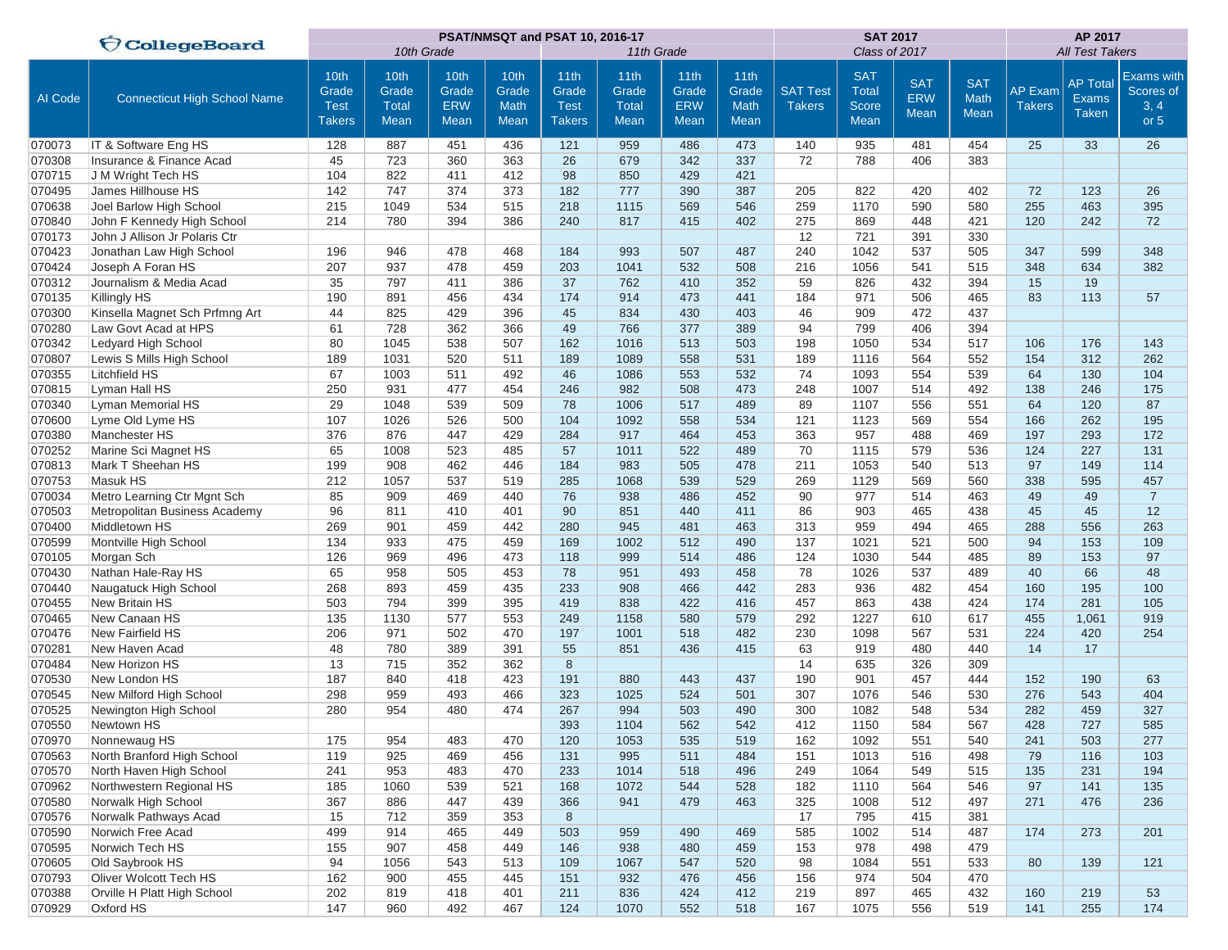|         | <b>CollegeBoard</b>                 |                                               |                                       |                                            |                                      | PSAT/NMSQT and PSAT 10, 2016-17               |                                              |                                     | <b>SAT 2017</b>                             | AP 2017                          |                                                           |                                         |                            |                                 |                                                 |                                                |
|---------|-------------------------------------|-----------------------------------------------|---------------------------------------|--------------------------------------------|--------------------------------------|-----------------------------------------------|----------------------------------------------|-------------------------------------|---------------------------------------------|----------------------------------|-----------------------------------------------------------|-----------------------------------------|----------------------------|---------------------------------|-------------------------------------------------|------------------------------------------------|
|         |                                     |                                               | 10th Grade                            |                                            |                                      |                                               | 11th Grade                                   |                                     |                                             |                                  | Class of 2017                                             |                                         | <b>All Test Takers</b>     |                                 |                                                 |                                                |
| AI Code | <b>Connecticut High School Name</b> | 10th<br>Grade<br><b>Test</b><br><b>Takers</b> | 10th<br>Grade<br><b>Total</b><br>Mean | 10th<br>Grade<br><b>ERW</b><br><b>Mean</b> | 10th<br>Grade<br><b>Math</b><br>Mean | 11th<br>Grade<br><b>Test</b><br><b>Takers</b> | 11th<br>Grade<br><b>Total</b><br><b>Mean</b> | 11th<br>Grade<br><b>ERW</b><br>Mean | 11th<br>Grade<br><b>Math</b><br><b>Mean</b> | <b>SAT Test</b><br><b>Takers</b> | <b>SAT</b><br><b>Total</b><br><b>Score</b><br><b>Mean</b> | <b>SAT</b><br><b>ERW</b><br><b>Mean</b> | <b>SAT</b><br>Math<br>Mean | <b>AP Exam</b><br><b>Takers</b> | <b>AP Total</b><br><b>Exams</b><br><b>Taken</b> | <b>Exams with</b><br>Scores of<br>3, 4<br>or 5 |
| 070073  | IT & Software Eng HS                | 128                                           | 887                                   | 451                                        | 436                                  | 121                                           | 959                                          | 486                                 | 473                                         | 140                              | 935                                                       | 481                                     | 454                        | 25                              | 33                                              | 26                                             |
| 070308  | Insurance & Finance Acad            | 45                                            | 723                                   | 360                                        | 363                                  | 26                                            | 679                                          | 342                                 | 337                                         | 72                               | 788                                                       | 406                                     | 383                        |                                 |                                                 |                                                |
| 070715  | J M Wright Tech HS                  | 104                                           | 822                                   | 411                                        | 412                                  | 98                                            | 850                                          | 429                                 | 421                                         |                                  |                                                           |                                         |                            |                                 |                                                 |                                                |
| 070495  | James Hillhouse HS                  | 142                                           | 747                                   | 374                                        | 373                                  | 182                                           | 777                                          | 390                                 | 387                                         | 205                              | 822                                                       | 420                                     | 402                        | 72                              | 123                                             | 26                                             |
| 070638  | Joel Barlow High School             | 215                                           | 1049                                  | 534                                        | 515                                  | 218                                           | 1115                                         | 569                                 | 546                                         | 259                              | 1170                                                      | 590                                     | 580                        | 255                             | 463                                             | 395                                            |
| 070840  | John F Kennedy High School          | 214                                           | 780                                   | 394                                        | 386                                  | 240                                           | 817                                          | 415                                 | 402                                         | 275                              | 869                                                       | 448                                     | 421                        | 120                             | 242                                             | 72                                             |
| 070173  | John J Allison Jr Polaris Ctr       |                                               |                                       |                                            |                                      |                                               |                                              |                                     |                                             | 12                               | 721                                                       | 391                                     | 330                        |                                 |                                                 |                                                |
| 070423  | Jonathan Law High School            | 196                                           | 946                                   | 478                                        | 468                                  | 184                                           | 993                                          | 507                                 | 487                                         | 240                              | 1042                                                      | 537                                     | 505                        | 347                             | 599                                             | 348                                            |
| 070424  | Joseph A Foran HS                   | 207                                           | 937                                   | 478                                        | 459                                  | 203                                           | 1041                                         | 532                                 | 508                                         | 216                              | 1056                                                      | 541                                     | 515                        | 348                             | 634                                             | 382                                            |
| 070312  | Journalism & Media Acad             | 35                                            | 797                                   | 411                                        | 386                                  | 37                                            | 762                                          | 410                                 | 352                                         | 59                               | 826                                                       | 432                                     | 394                        | 15                              | 19                                              |                                                |
| 070135  | Killingly HS                        | 190                                           | 891                                   | 456                                        | 434                                  | 174                                           | 914                                          | 473                                 | 441                                         | 184                              | 971                                                       | 506                                     | 465                        | 83                              | 113                                             | 57                                             |
| 070300  | Kinsella Magnet Sch Prfmng Art      | 44                                            | 825                                   | 429                                        | 396                                  | 45                                            | 834                                          | 430                                 | 403                                         | 46                               | 909                                                       | 472                                     | 437                        |                                 |                                                 |                                                |
| 070280  | Law Govt Acad at HPS                | 61                                            | 728                                   | 362                                        | 366                                  | 49                                            | 766                                          | 377                                 | 389                                         | 94                               | 799                                                       | 406                                     | 394                        |                                 |                                                 |                                                |
| 070342  | Ledyard High School                 | 80                                            | 1045                                  | 538                                        | 507                                  | 162                                           | 1016                                         | 513                                 | 503                                         | 198                              | 1050                                                      | 534                                     | 517                        | 106                             | 176                                             | 143                                            |
| 070807  | Lewis S Mills High School           | 189                                           | 1031                                  | 520                                        | 511                                  | 189                                           | 1089                                         | 558                                 | 531                                         | 189                              | 1116                                                      | 564                                     | 552                        | 154                             | 312                                             | 262                                            |
| 070355  | Litchfield HS                       | 67                                            | 1003                                  | 511                                        | 492                                  | 46                                            | 1086                                         | 553                                 | 532                                         | 74                               | 1093                                                      | 554                                     | 539                        | 64                              | 130                                             | 104                                            |
| 070815  | Lyman Hall HS                       | 250                                           | 931                                   | 477                                        | 454                                  | 246                                           | 982                                          | 508                                 | 473                                         | 248                              | 1007                                                      | 514                                     | 492                        | 138                             | 246                                             | 175                                            |
| 070340  | Lyman Memorial HS                   | 29                                            | 1048                                  | 539                                        | 509                                  | 78                                            | 1006                                         | 517                                 | 489                                         | 89                               | 1107                                                      | 556                                     | 551                        | 64                              | 120                                             | 87                                             |
| 070600  | Lyme Old Lyme HS                    | 107                                           | 1026                                  | 526                                        | 500                                  | 104                                           | 1092                                         | 558                                 | 534                                         | 121                              | 1123                                                      | 569                                     | 554                        | 166                             | 262                                             | 195                                            |
| 070380  | Manchester HS                       | 376                                           | 876                                   | 447                                        | 429                                  | 284                                           | 917                                          | 464                                 | 453                                         | 363                              | 957                                                       | 488                                     | 469                        | 197                             | 293                                             | 172                                            |
| 070252  | Marine Sci Magnet HS                | 65                                            | 1008                                  | 523                                        | 485                                  | 57                                            | 1011                                         | 522                                 | 489                                         | 70                               | 1115                                                      | 579                                     | 536                        | 124                             | 227                                             | 131                                            |
| 070813  | Mark T Sheehan HS                   | 199                                           | 908                                   | 462                                        | 446                                  | 184                                           | 983                                          | 505                                 | 478                                         | 211                              | 1053                                                      | 540                                     | 513                        | 97                              | 149                                             | 114                                            |
| 070753  | Masuk HS                            | 212                                           | 1057                                  | 537                                        | 519                                  | 285                                           | 1068                                         | 539                                 | 529                                         | 269                              | 1129                                                      | 569                                     | 560                        | 338                             | 595                                             | 457                                            |
| 070034  | Metro Learning Ctr Mgnt Sch         | 85                                            | 909                                   | 469                                        | 440                                  | 76                                            | 938                                          | 486                                 | 452                                         | 90                               | 977                                                       | 514                                     | 463                        | 49                              | 49                                              | $\overline{7}$                                 |
| 070503  | Metropolitan Business Academy       | 96                                            | 811                                   | 410                                        | 401                                  | 90                                            | 851                                          | 440                                 | 411                                         | 86                               | 903                                                       | 465                                     | 438                        | 45                              | 45                                              | 12                                             |
| 070400  | Middletown HS                       | 269                                           | 901                                   | 459                                        | 442                                  | 280                                           | 945                                          | 481                                 | 463                                         | 313                              | 959                                                       | 494                                     | 465                        | 288                             | 556                                             | 263                                            |
| 070599  | Montville High School               | 134                                           | 933                                   | 475                                        | 459                                  | 169                                           | 1002                                         | 512                                 | 490                                         | 137                              | 1021                                                      | 521                                     | 500                        | 94                              | 153                                             | 109                                            |
| 070105  | Morgan Sch                          | 126                                           | 969                                   | 496                                        | 473                                  | 118                                           | 999                                          | 514                                 | 486                                         | 124                              | 1030                                                      | 544                                     | 485                        | 89                              | 153                                             | 97                                             |
| 070430  | Nathan Hale-Ray HS                  | 65                                            | 958                                   | 505                                        | 453                                  | 78                                            | 951                                          | 493                                 | 458                                         | 78                               | 1026                                                      | 537                                     | 489                        | 40                              | 66                                              | 48                                             |
| 070440  | Naugatuck High School               | 268                                           | 893                                   | 459                                        | 435                                  | 233                                           | 908                                          | 466                                 | 442                                         | 283                              | 936                                                       | 482                                     | 454                        | 160                             | 195                                             | 100                                            |
| 070455  | New Britain HS                      | 503                                           | 794                                   | 399                                        | 395                                  | 419                                           | 838                                          | 422                                 | 416                                         | 457                              | 863                                                       | 438                                     | 424                        | 174                             | 281                                             | 105                                            |
| 070465  | New Canaan HS                       | 135                                           | 1130                                  | 577                                        | 553                                  | 249                                           | 1158                                         | 580                                 | 579                                         | 292                              | 1227                                                      | 610                                     | 617                        | 455                             | 1,061                                           | 919                                            |
| 070476  | New Fairfield HS                    | 206                                           | 971                                   | 502                                        | 470                                  | 197                                           | 1001                                         | 518                                 | 482                                         | 230                              | 1098                                                      | 567                                     | 531                        | 224                             | 420                                             | 254                                            |
| 070281  | New Haven Acad                      | 48                                            | 780                                   | 389                                        | 391                                  | 55                                            | 851                                          | 436                                 | 415                                         | 63                               | 919                                                       | 480                                     | 440                        | 14                              | 17                                              |                                                |
| 070484  | New Horizon HS                      | 13                                            | 715                                   | 352                                        | 362                                  | 8                                             |                                              |                                     |                                             | 14                               | 635                                                       | 326                                     | 309                        |                                 |                                                 |                                                |
| 070530  | New London HS                       | 187                                           | 840                                   | 418                                        | 423                                  | 191                                           | 880                                          | 443                                 | 437                                         | 190                              | 901                                                       | 457                                     | 444                        | 152                             | 190                                             | 63                                             |
| 070545  | New Milford High School             | 298                                           | 959                                   | 493                                        | 466                                  | 323                                           | 1025                                         | 524                                 | 501                                         | 307                              | 1076                                                      | 546                                     | 530                        | 276                             | 543                                             | 404                                            |
| 070525  | Newington High School               | 280                                           | 954                                   | 480                                        | 474                                  | 267                                           | 994                                          | 503                                 | 490                                         | 300                              | 1082                                                      | 548                                     | 534                        | 282                             | 459                                             | 327                                            |
| 070550  | Newtown HS                          |                                               |                                       |                                            |                                      | 393                                           | 1104                                         | 562                                 | 542                                         | 412                              | 1150                                                      | 584                                     | 567                        | 428                             | 727                                             | 585                                            |
| 070970  | Nonnewaug HS                        | 175                                           | 954                                   | 483                                        | 470                                  | 120                                           | 1053                                         | 535                                 | 519                                         | 162                              | 1092                                                      | 551                                     | 540                        | 241                             | 503                                             | 277                                            |
| 070563  | North Branford High School          | 119                                           | 925                                   | 469                                        | 456                                  | 131                                           | 995                                          | 511                                 | 484                                         | 151                              | 1013                                                      | 516                                     | 498                        | 79                              | 116                                             | 103                                            |
| 070570  | North Haven High School             | 241                                           | 953                                   | 483                                        | 470                                  | 233                                           | 1014                                         | 518                                 | 496                                         | 249                              | 1064                                                      | 549                                     | 515                        | 135                             | 231                                             | 194                                            |
| 070962  | Northwestern Regional HS            | 185                                           | 1060                                  | 539                                        | 521                                  | 168                                           | 1072                                         | 544                                 | 528                                         | 182                              | 1110                                                      | 564                                     | 546                        | 97                              | 141                                             | 135                                            |
| 070580  | Norwalk High School                 | 367                                           | 886                                   | 447                                        | 439                                  | 366                                           | 941                                          | 479                                 | 463                                         | 325                              | 1008                                                      | 512                                     | 497                        | 271                             | 476                                             | 236                                            |
| 070576  | Norwalk Pathways Acad               | 15                                            | 712                                   | 359                                        | 353                                  | 8                                             |                                              |                                     |                                             | 17                               | 795                                                       | 415                                     | 381                        |                                 |                                                 |                                                |
| 070590  | Norwich Free Acad                   | 499                                           | 914                                   | 465                                        | 449                                  | 503                                           | 959                                          | 490                                 | 469                                         | 585                              | 1002                                                      | 514                                     | 487                        | 174                             | 273                                             | 201                                            |
| 070595  | Norwich Tech HS                     | 155                                           | 907                                   | 458                                        | 449                                  | 146                                           | 938                                          | 480                                 | 459                                         | 153                              | 978                                                       | 498                                     | 479                        |                                 |                                                 |                                                |
| 070605  | Old Saybrook HS                     | 94                                            | 1056                                  | 543                                        | 513                                  | 109                                           | 1067                                         | 547                                 | 520                                         | 98                               | 1084                                                      | 551                                     | 533                        | 80                              | 139                                             | 121                                            |
| 070793  | Oliver Wolcott Tech HS              | 162                                           | 900                                   | 455                                        | 445                                  | 151                                           | 932                                          | 476                                 | 456                                         | 156                              | 974                                                       | 504                                     | 470                        |                                 |                                                 |                                                |
| 070388  | Orville H Platt High School         | 202                                           | 819                                   | 418                                        | 401                                  | 211                                           | 836                                          | 424                                 | 412                                         | 219                              | 897                                                       | 465                                     | 432                        | 160                             | 219                                             | 53                                             |
| 070929  | Oxford HS                           | 147                                           | 960                                   | 492                                        | 467                                  | 124                                           | 1070                                         | 552                                 | 518                                         | 167                              | 1075                                                      | 556                                     | 519                        | 141                             | 255                                             | 174                                            |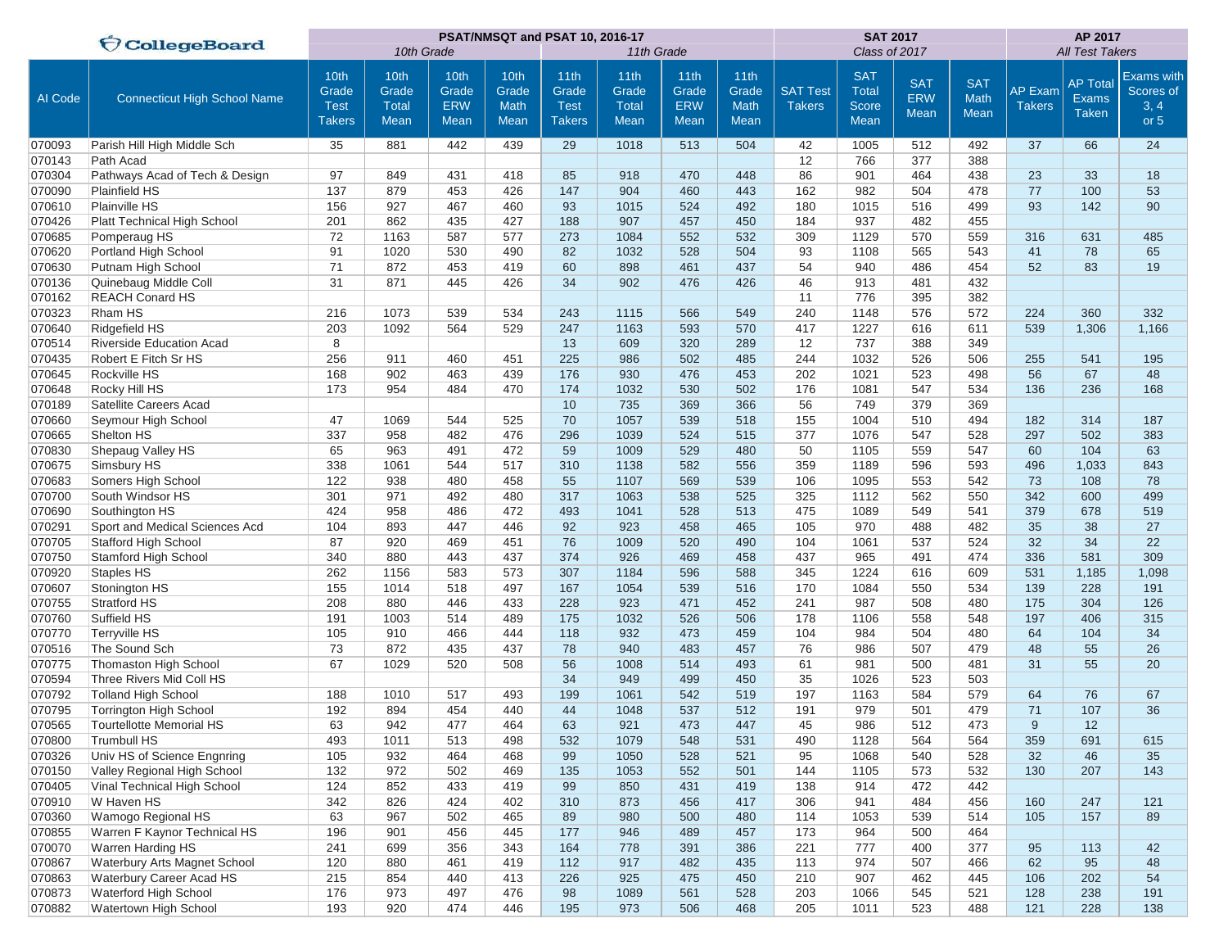|         | <b>CollegeBoard</b>                 |                                               |                                       |                                     | PSAT/NMSQT and PSAT 10, 2016-17      |                                               |                                       |                                            | <b>SAT 2017</b>                                  | AP 2017                          |                                             |                                         |                            |                                 |                                                 |                                                  |
|---------|-------------------------------------|-----------------------------------------------|---------------------------------------|-------------------------------------|--------------------------------------|-----------------------------------------------|---------------------------------------|--------------------------------------------|--------------------------------------------------|----------------------------------|---------------------------------------------|-----------------------------------------|----------------------------|---------------------------------|-------------------------------------------------|--------------------------------------------------|
|         |                                     |                                               | 10th Grade                            |                                     |                                      |                                               | 11th Grade                            |                                            |                                                  |                                  | Class of 2017                               |                                         | <b>All Test Takers</b>     |                                 |                                                 |                                                  |
| Al Code | <b>Connecticut High School Name</b> | 10th<br>Grade<br><b>Test</b><br><b>Takers</b> | 10th<br>Grade<br><b>Total</b><br>Mean | 10th<br>Grade<br><b>ERW</b><br>Mean | 10th<br>Grade<br><b>Math</b><br>Mean | 11th<br>Grade<br><b>Test</b><br><b>Takers</b> | 11th<br>Grade<br><b>Total</b><br>Mean | 11th<br>Grade<br><b>ERW</b><br><b>Mean</b> | 11 <sub>th</sub><br>Grade<br>Math<br><b>Mean</b> | <b>SAT Test</b><br><b>Takers</b> | <b>SAT</b><br><b>Total</b><br>Score<br>Mean | <b>SAT</b><br><b>ERW</b><br><b>Mean</b> | <b>SAT</b><br>Math<br>Mean | <b>AP Exam</b><br><b>Takers</b> | <b>AP Total</b><br><b>Exams</b><br><b>Taken</b> | <b>Exams with</b><br>Scores of<br>3, 4<br>or $5$ |
| 070093  | Parish Hill High Middle Sch         | 35                                            | 881                                   | 442                                 | 439                                  | 29                                            | 1018                                  | 513                                        | 504                                              | 42                               | 1005                                        | 512                                     | 492                        | 37                              | 66                                              | 24                                               |
| 070143  | Path Acad                           |                                               |                                       |                                     |                                      |                                               |                                       |                                            |                                                  | 12                               | 766                                         | 377                                     | 388                        |                                 |                                                 |                                                  |
| 070304  | Pathways Acad of Tech & Design      | 97                                            | 849                                   | 431                                 | 418                                  | 85                                            | 918                                   | 470                                        | 448                                              | 86                               | 901                                         | 464                                     | 438                        | 23                              | 33                                              | 18                                               |
| 070090  | <b>Plainfield HS</b>                | 137                                           | 879                                   | 453                                 | 426                                  | 147                                           | 904                                   | 460                                        | 443                                              | 162                              | 982                                         | 504                                     | 478                        | 77                              | 100                                             | 53                                               |
| 070610  | Plainville HS                       | 156                                           | 927                                   | 467                                 | 460                                  | 93                                            | 1015                                  | 524                                        | 492                                              | 180                              | 1015                                        | 516                                     | 499                        | 93                              | 142                                             | 90                                               |
| 070426  | Platt Technical High School         | 201                                           | 862                                   | 435                                 | 427                                  | 188                                           | 907                                   | 457                                        | 450                                              | 184                              | 937                                         | 482                                     | 455                        |                                 |                                                 |                                                  |
| 070685  | Pomperaug HS                        | 72                                            | 1163                                  | 587                                 | 577                                  | 273                                           | 1084                                  | 552                                        | 532                                              | 309                              | 1129                                        | 570                                     | 559                        | 316                             | 631                                             | 485                                              |
| 070620  | Portland High School                | 91                                            | 1020                                  | 530                                 | 490                                  | 82                                            | 1032                                  | 528                                        | 504                                              | 93                               | 1108                                        | 565                                     | 543                        | 41                              | 78                                              | 65                                               |
| 070630  | Putnam High School                  | 71                                            | 872                                   | 453                                 | 419                                  | 60                                            | 898                                   | 461                                        | 437                                              | 54                               | 940                                         | 486                                     | 454                        | 52                              | 83                                              | 19                                               |
| 070136  | Quinebaug Middle Coll               | 31                                            | 871                                   | 445                                 | 426                                  | 34                                            | 902                                   | 476                                        | 426                                              | 46                               | 913                                         | 481                                     | 432                        |                                 |                                                 |                                                  |
| 070162  | <b>REACH Conard HS</b>              |                                               |                                       |                                     |                                      |                                               |                                       |                                            |                                                  | 11                               | 776                                         | 395                                     | 382                        |                                 |                                                 |                                                  |
| 070323  | Rham HS                             | 216                                           | 1073                                  | 539                                 | 534                                  | 243                                           | 1115                                  | 566                                        | 549                                              | 240                              | 1148                                        | 576                                     | 572                        | 224                             | 360                                             | 332                                              |
| 070640  | Ridgefield HS                       | 203                                           | 1092                                  | 564                                 | 529                                  | 247                                           | 1163                                  | 593                                        | 570                                              | 417                              | 1227                                        | 616                                     | 611                        | 539                             | 1,306                                           | 1,166                                            |
| 070514  | Riverside Education Acad            | 8                                             |                                       |                                     |                                      | 13                                            | 609                                   | 320                                        | 289                                              | 12                               | 737                                         | 388                                     | 349                        |                                 |                                                 |                                                  |
| 070435  | Robert E Fitch Sr HS                | 256                                           | 911                                   | 460                                 | 451                                  | 225                                           | 986                                   | 502                                        | 485                                              | 244                              | 1032                                        | 526                                     | 506                        | 255                             | 541                                             | 195                                              |
| 070645  | Rockville HS                        | 168                                           | 902                                   | 463                                 | 439                                  | 176                                           | 930                                   | 476                                        | 453                                              | 202                              | 1021                                        | 523                                     | 498                        | 56                              | 67                                              | 48                                               |
| 070648  | Rocky Hill HS                       | 173                                           | 954                                   | 484                                 | 470                                  | 174                                           | 1032                                  | 530                                        | 502                                              | 176                              | 1081                                        | 547                                     | 534                        | 136                             | 236                                             | 168                                              |
| 070189  | Satellite Careers Acad              |                                               |                                       |                                     |                                      | 10                                            | 735                                   | 369                                        | 366                                              | 56                               | 749                                         | 379                                     | 369                        |                                 |                                                 |                                                  |
| 070660  | Seymour High School                 | 47                                            | 1069                                  | 544                                 | 525                                  | 70                                            | 1057                                  | 539                                        | 518                                              | 155                              | 1004                                        | 510                                     | 494                        | 182                             | 314                                             | 187                                              |
| 070665  | Shelton HS                          | 337                                           | 958                                   | 482                                 | 476                                  | 296                                           | 1039                                  | 524                                        | 515                                              | 377                              | 1076                                        | 547                                     | 528                        | 297                             | 502                                             | 383                                              |
| 070830  | Shepaug Valley HS                   | 65                                            | 963                                   | 491                                 | 472                                  | 59                                            | 1009                                  | 529                                        | 480                                              | 50                               | 1105                                        | 559                                     | 547                        | 60                              | 104                                             | 63                                               |
| 070675  | Simsbury HS                         | 338                                           | 1061                                  | 544                                 | 517                                  | 310                                           | 1138                                  | 582                                        | 556                                              | 359                              | 1189                                        | 596                                     | 593                        | 496                             | 1,033                                           | 843                                              |
| 070683  | Somers High School                  | 122                                           | 938                                   | 480                                 | 458                                  | 55                                            | 1107                                  | 569                                        | 539                                              | 106                              | 1095                                        | 553                                     | 542                        | 73                              | 108                                             | 78                                               |
| 070700  | South Windsor HS                    | 301                                           | 971                                   | 492                                 | 480                                  | 317                                           | 1063                                  | 538                                        | 525                                              | 325                              | 1112                                        | 562                                     | 550                        | 342                             | 600                                             | 499                                              |
| 070690  | Southington HS                      | 424                                           | 958                                   | 486                                 | 472                                  | 493                                           | 1041                                  | 528                                        | 513                                              | 475                              | 1089                                        | 549                                     | 541                        | 379                             | 678                                             | 519                                              |
| 070291  | Sport and Medical Sciences Acd      | 104                                           | 893                                   | 447                                 | 446                                  | 92                                            | 923                                   | 458                                        | 465                                              | 105                              | 970                                         | 488                                     | 482                        | 35                              | 38                                              | 27                                               |
| 070705  | Stafford High School                | 87                                            | 920                                   | 469                                 | 451                                  | 76                                            | 1009                                  | 520                                        | 490                                              | 104                              | 1061                                        | 537                                     | 524                        | 32                              | 34                                              | 22                                               |
| 070750  | Stamford High School                | 340                                           | 880                                   | 443                                 | 437                                  | 374                                           | 926                                   | 469                                        | 458                                              | 437                              | 965                                         | 491                                     | 474                        | 336                             | 581                                             | 309                                              |
| 070920  | <b>Staples HS</b>                   | 262                                           | 1156                                  | 583                                 | 573                                  | 307                                           | 1184                                  | 596                                        | 588                                              | 345                              | 1224                                        | 616                                     | 609                        | 531                             | 1,185                                           | 1,098                                            |
| 070607  | Stonington HS                       | 155                                           | 1014                                  | 518                                 | 497                                  | 167                                           | 1054                                  | 539                                        | 516                                              | 170                              | 1084                                        | 550                                     | 534                        | 139                             | 228                                             | 191                                              |
| 070755  | Stratford HS                        | 208                                           | 880                                   | 446                                 | 433                                  | 228                                           | 923                                   | 471                                        | 452                                              | 241                              | 987                                         | 508                                     | 480                        | 175                             | 304                                             | 126                                              |
| 070760  | Suffield HS                         | 191                                           | 1003                                  | 514                                 | 489                                  | 175                                           | 1032                                  | 526                                        | 506                                              | 178                              | 1106                                        | 558                                     | 548                        | 197                             | 406                                             | 315                                              |
| 070770  | <b>Terryville HS</b>                | 105                                           | 910                                   | 466                                 | 444                                  | 118                                           | 932                                   | 473                                        | 459                                              | 104                              | 984                                         | 504                                     | 480                        | 64                              | 104                                             | 34                                               |
| 070516  | The Sound Sch                       | 73                                            | 872                                   | 435                                 | 437                                  | 78                                            | 940                                   | 483                                        | 457                                              | 76                               | 986                                         | 507                                     | 479                        | 48                              | 55                                              | 26                                               |
| 070775  | <b>Thomaston High School</b>        | 67                                            | 1029                                  | 520                                 | 508                                  | 56                                            | 1008                                  | 514                                        | 493                                              | 61                               | 981                                         | 500                                     | 481                        | 31                              | 55                                              | 20                                               |
| 070594  | Three Rivers Mid Coll HS            |                                               |                                       |                                     |                                      | 34                                            | 949                                   | 499                                        | 450                                              | 35                               | 1026                                        | 523                                     | 503                        |                                 |                                                 |                                                  |
| 070792  | <b>Tolland High School</b>          | 188                                           | 1010                                  | 517                                 | 493                                  | 199                                           | 1061                                  | 542                                        | 519                                              | 197                              | 1163                                        | 584                                     | 579                        | 64                              | 76                                              | 67                                               |
| 070795  | Torrington High School              | 192                                           | 894                                   | 454                                 | 440                                  | 44                                            | 1048                                  | 537                                        | 512                                              | 191                              | 979                                         | 501                                     | 479                        | 71                              | 107                                             | 36                                               |
| 070565  | Tourtellotte Memorial HS            | 63                                            | 942                                   | 477                                 | 464                                  | 63                                            | 921                                   | 473                                        | 447                                              | 45                               | 986                                         | 512                                     | 473                        | 9                               | 12                                              |                                                  |
| 070800  | Trumbull HS                         | 493                                           | 1011                                  | 513                                 | 498                                  | 532                                           | 1079                                  | 548                                        | 531                                              | 490                              | 1128                                        | 564                                     | 564                        | 359                             | 691                                             | 615                                              |
| 070326  | Univ HS of Science Engnring         | 105                                           | 932                                   | 464                                 | 468                                  | 99                                            | 1050                                  | 528                                        | 521                                              | 95                               | 1068                                        | 540                                     | 528                        | 32                              | 46                                              | 35                                               |
| 070150  | Valley Regional High School         | 132                                           | 972                                   | 502                                 | 469                                  | 135                                           | 1053                                  | 552                                        | 501                                              | 144                              | 1105                                        | 573                                     | 532                        | 130                             | 207                                             | 143                                              |
| 070405  | Vinal Technical High School         | 124                                           | 852                                   | 433                                 | 419                                  | 99                                            | 850                                   | 431                                        | 419                                              | 138                              | 914                                         | 472                                     | 442                        |                                 |                                                 |                                                  |
| 070910  | W Haven HS                          | 342                                           | 826                                   | 424                                 | 402                                  | 310                                           | 873                                   | 456                                        | 417                                              | 306                              | 941                                         | 484                                     | 456                        | 160                             | 247                                             | 121                                              |
| 070360  | Wamogo Regional HS                  | 63                                            | 967                                   | 502                                 | 465                                  | 89                                            | 980                                   | 500                                        | 480                                              | 114                              | 1053                                        | 539                                     | 514                        | 105                             | 157                                             | 89                                               |
| 070855  | Warren F Kaynor Technical HS        | 196                                           | 901                                   | 456                                 | 445                                  | 177                                           | 946                                   | 489                                        | 457                                              | 173                              | 964                                         | 500                                     | 464                        |                                 |                                                 |                                                  |
| 070070  | Warren Harding HS                   | 241                                           | 699                                   | 356                                 | 343                                  | 164                                           | 778                                   | 391                                        | 386                                              | 221                              | 777                                         | 400                                     | 377                        | 95                              | 113                                             | 42                                               |
| 070867  | Waterbury Arts Magnet School        | 120                                           | 880                                   | 461                                 | 419                                  | 112                                           | 917                                   | 482                                        | 435                                              | 113                              | 974                                         | 507                                     | 466                        | 62                              | 95                                              | 48                                               |
| 070863  | Waterbury Career Acad HS            | 215                                           | 854                                   | 440                                 | 413                                  | 226                                           | 925                                   | 475                                        | 450                                              | 210                              | 907                                         | 462                                     | 445                        | 106                             | 202                                             | 54                                               |
| 070873  | Waterford High School               | 176                                           | 973                                   | 497                                 | 476                                  | 98                                            | 1089                                  | 561                                        | 528                                              | 203                              | 1066                                        | 545                                     | 521                        | 128                             | 238                                             | 191                                              |
| 070882  | Watertown High School               | 193                                           | 920                                   | 474                                 | 446                                  | 195                                           | 973                                   | 506                                        | 468                                              | 205                              | 1011                                        | 523                                     | 488                        | 121                             | 228                                             | 138                                              |